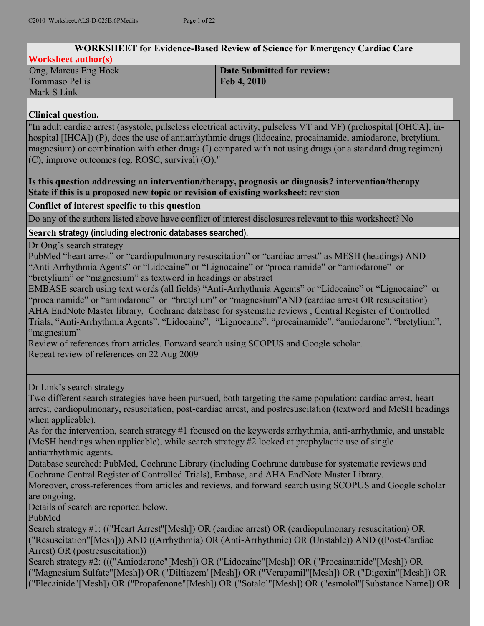| <b>WORKSHEET for Evidence-Based Review of Science for Emergency Cardiac Care</b>                                                                                                                                                                                                                                                                                                                                                                                                                                                                                                                                                                                                                                                                                                                                                                                                        |                                                                                                                                                                                                                                                                                                                                                                                                                                                                                                                                                                    |  |  |  |  |
|-----------------------------------------------------------------------------------------------------------------------------------------------------------------------------------------------------------------------------------------------------------------------------------------------------------------------------------------------------------------------------------------------------------------------------------------------------------------------------------------------------------------------------------------------------------------------------------------------------------------------------------------------------------------------------------------------------------------------------------------------------------------------------------------------------------------------------------------------------------------------------------------|--------------------------------------------------------------------------------------------------------------------------------------------------------------------------------------------------------------------------------------------------------------------------------------------------------------------------------------------------------------------------------------------------------------------------------------------------------------------------------------------------------------------------------------------------------------------|--|--|--|--|
| <b>Worksheet author(s)</b>                                                                                                                                                                                                                                                                                                                                                                                                                                                                                                                                                                                                                                                                                                                                                                                                                                                              |                                                                                                                                                                                                                                                                                                                                                                                                                                                                                                                                                                    |  |  |  |  |
| Ong, Marcus Eng Hock                                                                                                                                                                                                                                                                                                                                                                                                                                                                                                                                                                                                                                                                                                                                                                                                                                                                    | <b>Date Submitted for review:</b>                                                                                                                                                                                                                                                                                                                                                                                                                                                                                                                                  |  |  |  |  |
| <b>Tommaso Pellis</b>                                                                                                                                                                                                                                                                                                                                                                                                                                                                                                                                                                                                                                                                                                                                                                                                                                                                   | Feb 4, 2010                                                                                                                                                                                                                                                                                                                                                                                                                                                                                                                                                        |  |  |  |  |
| Mark S Link                                                                                                                                                                                                                                                                                                                                                                                                                                                                                                                                                                                                                                                                                                                                                                                                                                                                             |                                                                                                                                                                                                                                                                                                                                                                                                                                                                                                                                                                    |  |  |  |  |
| <b>Clinical question.</b>                                                                                                                                                                                                                                                                                                                                                                                                                                                                                                                                                                                                                                                                                                                                                                                                                                                               |                                                                                                                                                                                                                                                                                                                                                                                                                                                                                                                                                                    |  |  |  |  |
| "In adult cardiac arrest (asystole, pulseless electrical activity, pulseless VT and VF) (prehospital [OHCA], in-<br>hospital [IHCA]) (P), does the use of antiarrhythmic drugs (lidocaine, procainamide, amiodarone, bretylium,<br>magnesium) or combination with other drugs (I) compared with not using drugs (or a standard drug regimen)<br>(C), improve outcomes (eg. ROSC, survival) (O)."<br>Is this question addressing an intervention/therapy, prognosis or diagnosis? intervention/therapy                                                                                                                                                                                                                                                                                                                                                                                   |                                                                                                                                                                                                                                                                                                                                                                                                                                                                                                                                                                    |  |  |  |  |
| State if this is a proposed new topic or revision of existing worksheet: revision                                                                                                                                                                                                                                                                                                                                                                                                                                                                                                                                                                                                                                                                                                                                                                                                       |                                                                                                                                                                                                                                                                                                                                                                                                                                                                                                                                                                    |  |  |  |  |
| Conflict of interest specific to this question                                                                                                                                                                                                                                                                                                                                                                                                                                                                                                                                                                                                                                                                                                                                                                                                                                          |                                                                                                                                                                                                                                                                                                                                                                                                                                                                                                                                                                    |  |  |  |  |
|                                                                                                                                                                                                                                                                                                                                                                                                                                                                                                                                                                                                                                                                                                                                                                                                                                                                                         | Do any of the authors listed above have conflict of interest disclosures relevant to this worksheet? No                                                                                                                                                                                                                                                                                                                                                                                                                                                            |  |  |  |  |
| Search strategy (including electronic databases searched).                                                                                                                                                                                                                                                                                                                                                                                                                                                                                                                                                                                                                                                                                                                                                                                                                              |                                                                                                                                                                                                                                                                                                                                                                                                                                                                                                                                                                    |  |  |  |  |
| Dr Ong's search strategy<br>PubMed "heart arrest" or "cardiopulmonary resuscitation" or "cardiac arrest" as MESH (headings) AND<br>"Anti-Arrhythmia Agents" or "Lidocaine" or "Lignocaine" or "procainamide" or "amiodarone" or<br>"bretylium" or "magnesium" as textword in headings or abstract<br>EMBASE search using text words (all fields) "Anti-Arrhythmia Agents" or "Lidocaine" or "Lignocaine" or<br>"procainamide" or "amiodarone" or "bretylium" or "magnesium"AND (cardiac arrest OR resuscitation)<br>AHA EndNote Master library, Cochrane database for systematic reviews, Central Register of Controlled<br>Trials, "Anti-Arrhythmia Agents", "Lidocaine", "Lignocaine", "procainamide", "amiodarone", "bretylium",<br>"magnesium"<br>Review of references from articles. Forward search using SCOPUS and Google scholar.<br>Repeat review of references on 22 Aug 2009 |                                                                                                                                                                                                                                                                                                                                                                                                                                                                                                                                                                    |  |  |  |  |
| Dr Link's search strategy<br>when applicable).<br>(MeSH headings when applicable), while search strategy #2 looked at prophylactic use of single<br>antiarrhythmic agents.<br>Cochrane Central Register of Controlled Trials), Embase, and AHA EndNote Master Library.<br>are ongoing.<br>Details of search are reported below.<br>PubMed                                                                                                                                                                                                                                                                                                                                                                                                                                                                                                                                               | Two different search strategies have been pursued, both targeting the same population: cardiac arrest, heart<br>arrest, cardiopulmonary, resuscitation, post-cardiac arrest, and postresuscitation (textword and MeSH headings<br>As for the intervention, search strategy #1 focused on the keywords arrhythmia, anti-arrhythmic, and unstable<br>Database searched: PubMed, Cochrane Library (including Cochrane database for systematic reviews and<br>Moreover, cross-references from articles and reviews, and forward search using SCOPUS and Google scholar |  |  |  |  |
| Search strategy #1: (("Heart Arrest"[Mesh]) OR (cardiac arrest) OR (cardiopulmonary resuscitation) OR<br>("Resuscitation"[Mesh])) AND ((Arrhythmia) OR (Anti-Arrhythmic) OR (Unstable)) AND ((Post-Cardiac<br>Arrest) OR (postresuscitation))<br>Search strategy #2: ((("Amiodarone"[Mesh]) OR ("Lidocaine"[Mesh]) OR ("Procainamide"[Mesh]) OR<br>("Magnesium Sulfate"[Mesh]) OR ("Diltiazem"[Mesh]) OR ("Verapamil"[Mesh]) OR ("Digoxin"[Mesh]) OR<br>("Flecainide"[Mesh]) OR ("Propafenone"[Mesh]) OR ("Sotalol"[Mesh]) OR ("esmolol"[Substance Name]) OR                                                                                                                                                                                                                                                                                                                            |                                                                                                                                                                                                                                                                                                                                                                                                                                                                                                                                                                    |  |  |  |  |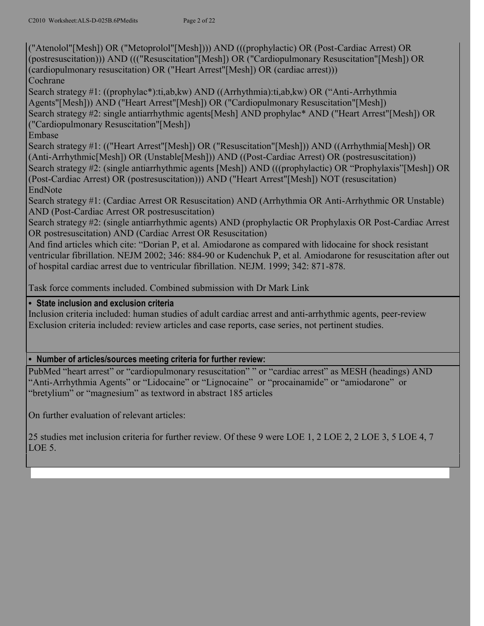("Atenolol"[Mesh]) OR ("Metoprolol"[Mesh]))) AND (((prophylactic) OR (Post-Cardiac Arrest) OR (postresuscitation))) AND ((("Resuscitation"[Mesh]) OR ("Cardiopulmonary Resuscitation"[Mesh]) OR (cardiopulmonary resuscitation) OR ("Heart Arrest"[Mesh]) OR (cardiac arrest))) **Cochrane** 

Search strategy #1: ((prophylac\*):ti,ab,kw) AND ((Arrhythmia):ti,ab,kw) OR ("Anti-Arrhythmia Agents"[Mesh])) AND ("Heart Arrest"[Mesh]) OR ("Cardiopulmonary Resuscitation"[Mesh]) Search strategy #2: single antiarrhythmic agents[Mesh] AND prophylac\* AND ("Heart Arrest"[Mesh]) OR ("Cardiopulmonary Resuscitation"[Mesh])

Embase

Search strategy #1: (("Heart Arrest"[Mesh]) OR ("Resuscitation"[Mesh])) AND ((Arrhythmia[Mesh]) OR (Anti-Arrhythmic[Mesh]) OR (Unstable[Mesh])) AND ((Post-Cardiac Arrest) OR (postresuscitation)) Search strategy #2: (single antiarrhythmic agents [Mesh]) AND (((prophylactic) OR "Prophylaxis"[Mesh]) OR (Post-Cardiac Arrest) OR (postresuscitation))) AND ("Heart Arrest"[Mesh]) NOT (resuscitation) EndNote

Search strategy #1: (Cardiac Arrest OR Resuscitation) AND (Arrhythmia OR Anti-Arrhythmic OR Unstable) AND (Post-Cardiac Arrest OR postresuscitation)

Search strategy #2: (single antiarrhythmic agents) AND (prophylactic OR Prophylaxis OR Post-Cardiac Arrest OR postresuscitation) AND (Cardiac Arrest OR Resuscitation)

And find articles which cite: "Dorian P, et al. Amiodarone as compared with lidocaine for shock resistant ventricular fibrillation. NEJM 2002; 346: 884-90 or Kudenchuk P, et al. Amiodarone for resuscitation after out of hospital cardiac arrest due to ventricular fibrillation. NEJM. 1999; 342: 871-878.

Task force comments included. Combined submission with Dr Mark Link

## **• State inclusion and exclusion criteria**

Inclusion criteria included: human studies of adult cardiac arrest and anti-arrhythmic agents, peer-review Exclusion criteria included: review articles and case reports, case series, not pertinent studies.

## **• Number of articles/sources meeting criteria for further review:**

PubMed "heart arrest" or "cardiopulmonary resuscitation" " or "cardiac arrest" as MESH (headings) AND "Anti-Arrhythmia Agents" or "Lidocaine" or "Lignocaine" or "procainamide" or "amiodarone" or "bretylium" or "magnesium" as textword in abstract 185 articles

On further evaluation of relevant articles:

25 studies met inclusion criteria for further review. Of these 9 were LOE 1, 2 LOE 2, 2 LOE 3, 5 LOE 4, 7 LOE 5.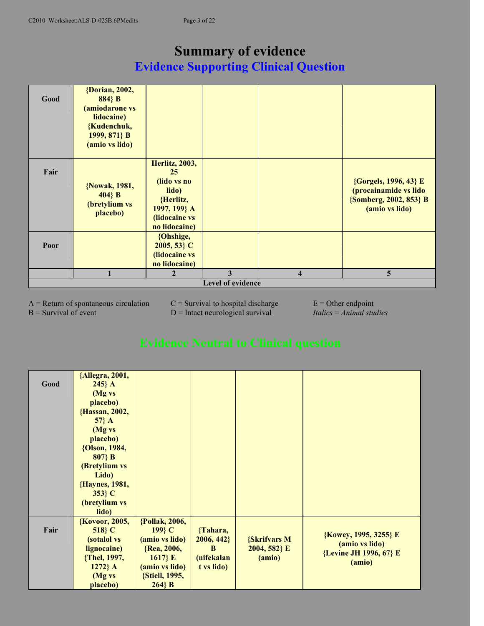# **Summary of evidence Evidence Supporting Clinical Question**

| Good                     | {Dorian, 2002,<br>884} B<br>(amiodarone vs<br>lidocaine)<br>{Kudenchuk,<br>1999, 871} B<br>(amio vs lido) |                                                                                                                     |   |                         |                                                                                            |
|--------------------------|-----------------------------------------------------------------------------------------------------------|---------------------------------------------------------------------------------------------------------------------|---|-------------------------|--------------------------------------------------------------------------------------------|
| Fair                     | {Nowak, 1981,<br>$404$ } B<br>(bretylium vs<br>placebo)                                                   | <b>Herlitz</b> , 2003,<br>25<br>(lido vs no<br>lido)<br>{Herlitz,<br>1997, 199} A<br>(lidocaine vs<br>no lidocaine) |   |                         | {Gorgels, 1996, 43} E<br>(procainamide vs lido<br>{Somberg, 2002, 853} B<br>(amio vs lido) |
| Poor                     |                                                                                                           | {Ohshige,<br>$2005, 53$ C<br>(lidocaine vs<br>no lidocaine)                                                         |   |                         |                                                                                            |
|                          |                                                                                                           | $\mathbf{2}$                                                                                                        | 3 | $\overline{\mathbf{4}}$ | 5                                                                                          |
| <b>Level of evidence</b> |                                                                                                           |                                                                                                                     |   |                         |                                                                                            |

 $A =$  Return of spontaneous circulation  $C =$  Survival to hospital discharge  $E =$  Other endpoint B = Survival of event D = Intact neurological survival *Italics* = *Animal studies* 

| Good | {Allegra, 2001,<br>$245$ A<br>(Mg vs<br>placebo)<br>{Hassan, 2002,<br>$57$ } A<br>(Mg vs<br>placebo)<br>{Olson, 1984,<br>$807$ } B<br>(Bretylium vs<br>Lido)<br>{Haynes, 1981,<br>353} C<br>(bretylium vs<br>lido) |                                                                                                                         |                                                        |                                                  |                                                                             |
|------|--------------------------------------------------------------------------------------------------------------------------------------------------------------------------------------------------------------------|-------------------------------------------------------------------------------------------------------------------------|--------------------------------------------------------|--------------------------------------------------|-----------------------------------------------------------------------------|
| Fair | <b>{Kovoor, 2005,</b><br>518 C<br>(sotalol vs<br>lignocaine)<br>{Thel, 1997,<br>$1272$ } A<br>(Mg vs<br>placebo)                                                                                                   | {Pollak, 2006,<br>199} C<br>(amio vs lido)<br>{Rea, 2006,<br>1617} $E$<br>(amio vs lido)<br>{Stiell, 1995,<br>$264$ } B | {Tahara,<br>2006, 442<br>B<br>(nifekalan<br>t vs lido) | <b>{Skrifvars M</b><br>$2004, 582$ } E<br>(amio) | {Kowey, 1995, 3255} E<br>(amio vs lido)<br>{Levine JH 1996, 67} E<br>(amio) |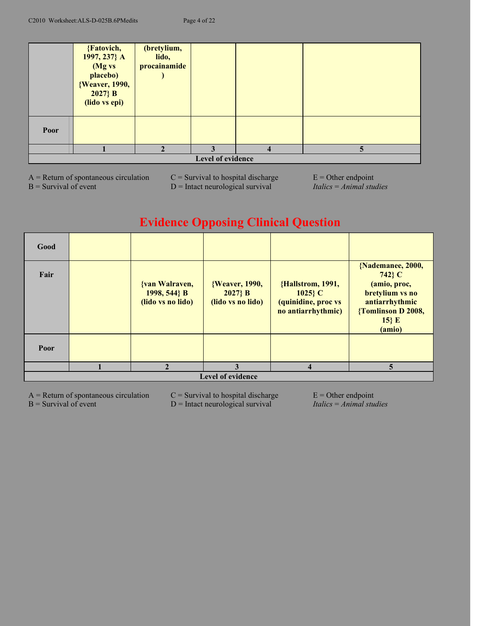|                   | {Fatovich,<br>1997, 237} A<br>(Mg vs<br>placebo)<br>{Weaver, 1990,<br>$2027$ } B<br>(lido vs epi) | (bretylium,<br>lido,<br>procainamide |  |                |   |
|-------------------|---------------------------------------------------------------------------------------------------|--------------------------------------|--|----------------|---|
| Poor              |                                                                                                   |                                      |  |                |   |
|                   |                                                                                                   |                                      |  | $\overline{4}$ | 5 |
| Level of evidence |                                                                                                   |                                      |  |                |   |

 $A =$  Return of spontaneous circulation  $C =$  Survival to hospital discharge  $E =$  Other endpoint B = Survival of event D = Intact neurological survival *Italics* = *Animal studies* 

# **Evidence Opposing Clinical Question**

| Good                     |  |                                                     |                                                   |                                                                            |                                                                                                                              |  |
|--------------------------|--|-----------------------------------------------------|---------------------------------------------------|----------------------------------------------------------------------------|------------------------------------------------------------------------------------------------------------------------------|--|
| Fair                     |  | {van Walraven,<br>1998, 544} B<br>(lido vs no lido) | {Weaver, 1990,<br>$2027$ } B<br>(lido vs no lido) | {Hallstrom, 1991,<br>$1025$ C<br>(quinidine, proc vs<br>no antiarrhythmic) | {Nademanee, 2000,<br>742} C<br>(amio, proc,<br>bretylium vs no<br>antiarrhythmic<br>{Tomlinson D 2008,<br>$15$ } E<br>(amio) |  |
| Poor                     |  |                                                     |                                                   |                                                                            |                                                                                                                              |  |
|                          |  |                                                     | 3                                                 | $\overline{\mathbf{4}}$                                                    | 5                                                                                                                            |  |
| <b>Level of evidence</b> |  |                                                     |                                                   |                                                                            |                                                                                                                              |  |

 $A =$  Return of spontaneous circulation  $C =$  Survival to hospital discharge  $E =$  Other endpoint<br>B = Survival of event  $D =$  Intact neurological survival Italics = Animal studies D = Intact neurological survival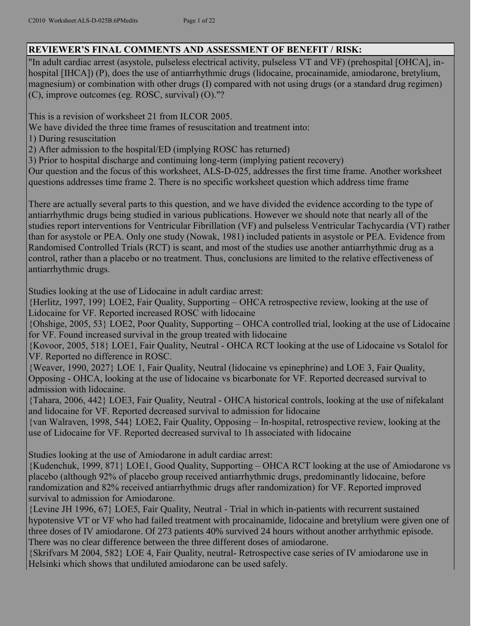## **REVIEWER'S FINAL COMMENTS AND ASSESSMENT OF BENEFIT / RISK:**

"In adult cardiac arrest (asystole, pulseless electrical activity, pulseless VT and VF) (prehospital [OHCA], inhospital [IHCA]) (P), does the use of antiarrhythmic drugs (lidocaine, procainamide, amiodarone, bretylium, magnesium) or combination with other drugs (I) compared with not using drugs (or a standard drug regimen) (C), improve outcomes (eg. ROSC, survival) (O)."?

This is a revision of worksheet 21 from ILCOR 2005.

We have divided the three time frames of resuscitation and treatment into:

1) During resuscitation

2) After admission to the hospital/ED (implying ROSC has returned)

3) Prior to hospital discharge and continuing long-term (implying patient recovery)

Our question and the focus of this worksheet, ALS-D-025, addresses the first time frame. Another worksheet questions addresses time frame 2. There is no specific worksheet question which address time frame

There are actually several parts to this question, and we have divided the evidence according to the type of antiarrhythmic drugs being studied in various publications. However we should note that nearly all of the studies report interventions for Ventricular Fibrillation (VF) and pulseless Ventricular Tachycardia (VT) rather than for asystole or PEA. Only one study (Nowak, 1981) included patients in asystole or PEA. Evidence from Randomised Controlled Trials (RCT) is scant, and most of the studies use another antiarrhythmic drug as a control, rather than a placebo or no treatment. Thus, conclusions are limited to the relative effectiveness of antiarrhythmic drugs.

Studies looking at the use of Lidocaine in adult cardiac arrest:

{Herlitz, 1997, 199} LOE2, Fair Quality, Supporting – OHCA retrospective review, looking at the use of Lidocaine for VF. Reported increased ROSC with lidocaine

{Ohshige, 2005, 53} LOE2, Poor Quality, Supporting – OHCA controlled trial, looking at the use of Lidocaine for VF. Found increased survival in the group treated with lidocaine

{Kovoor, 2005, 518} LOE1, Fair Quality, Neutral - OHCA RCT looking at the use of Lidocaine vs Sotalol for VF. Reported no difference in ROSC.

{Weaver, 1990, 2027} LOE 1, Fair Quality, Neutral (lidocaine vs epinephrine) and LOE 3, Fair Quality, Opposing - OHCA, looking at the use of lidocaine vs bicarbonate for VF. Reported decreased survival to admission with lidocaine.

{Tahara, 2006, 442} LOE3, Fair Quality, Neutral - OHCA historical controls, looking at the use of nifekalant and lidocaine for VF. Reported decreased survival to admission for lidocaine

{van Walraven, 1998, 544} LOE2, Fair Quality, Opposing – In-hospital, retrospective review, looking at the use of Lidocaine for VF. Reported decreased survival to 1h associated with lidocaine

Studies looking at the use of Amiodarone in adult cardiac arrest:

{Kudenchuk, 1999, 871} LOE1, Good Quality, Supporting – OHCA RCT looking at the use of Amiodarone vs placebo (although 92% of placebo group received antiarrhythmic drugs, predominantly lidocaine, before randomization and 82% received antiarrhythmic drugs after randomization) for VF. Reported improved survival to admission for Amiodarone.

{Levine JH 1996, 67} LOE5, Fair Quality, Neutral - Trial in which in-patients with recurrent sustained hypotensive VT or VF who had failed treatment with procainamide, lidocaine and bretylium were given one of three doses of IV amiodarone. Of 273 patients 40% survived 24 hours without another arrhythmic episode. There was no clear difference between the three different doses of amiodarone.

{Skrifvars M 2004, 582} LOE 4, Fair Quality, neutral- Retrospective case series of IV amiodarone use in Helsinki which shows that undiluted amiodarone can be used safely.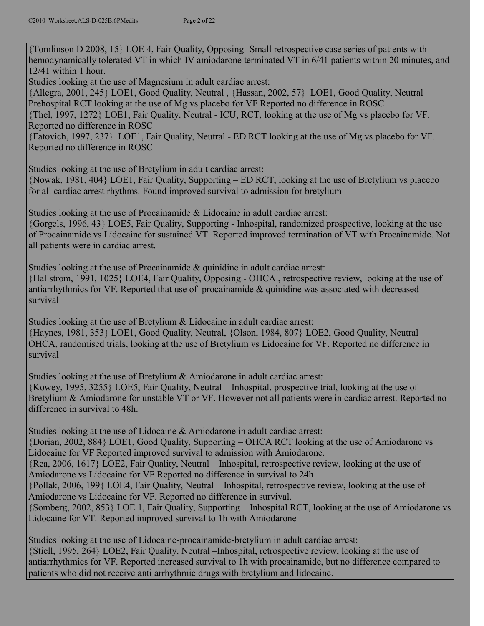{Tomlinson D 2008, 15} LOE 4, Fair Quality, Opposing- Small retrospective case series of patients with hemodynamically tolerated VT in which IV amiodarone terminated VT in 6/41 patients within 20 minutes, and 12/41 within 1 hour.

Studies looking at the use of Magnesium in adult cardiac arrest:

{Allegra, 2001, 245} LOE1, Good Quality, Neutral , {Hassan, 2002, 57} LOE1, Good Quality, Neutral – Prehospital RCT looking at the use of Mg vs placebo for VF Reported no difference in ROSC

{Thel, 1997, 1272} LOE1, Fair Quality, Neutral - ICU, RCT, looking at the use of Mg vs placebo for VF. Reported no difference in ROSC

{Fatovich, 1997, 237} LOE1, Fair Quality, Neutral - ED RCT looking at the use of Mg vs placebo for VF. Reported no difference in ROSC

Studies looking at the use of Bretylium in adult cardiac arrest:

{Nowak, 1981, 404} LOE1, Fair Quality, Supporting – ED RCT, looking at the use of Bretylium vs placebo for all cardiac arrest rhythms. Found improved survival to admission for bretylium

Studies looking at the use of Procainamide & Lidocaine in adult cardiac arrest:

{Gorgels, 1996, 43} LOE5, Fair Quality, Supporting - Inhospital, randomized prospective, looking at the use of Procainamide vs Lidocaine for sustained VT. Reported improved termination of VT with Procainamide. Not all patients were in cardiac arrest.

Studies looking at the use of Procainamide & quinidine in adult cardiac arrest: {Hallstrom, 1991, 1025} LOE4, Fair Quality, Opposing - OHCA , retrospective review, looking at the use of antiarrhythmics for VF. Reported that use of procainamide & quinidine was associated with decreased survival

Studies looking at the use of Bretylium & Lidocaine in adult cardiac arrest: {Haynes, 1981, 353} LOE1, Good Quality, Neutral, {Olson, 1984, 807} LOE2, Good Quality, Neutral – OHCA, randomised trials, looking at the use of Bretylium vs Lidocaine for VF. Reported no difference in survival

Studies looking at the use of Bretylium & Amiodarone in adult cardiac arrest: {Kowey, 1995, 3255} LOE5, Fair Quality, Neutral – Inhospital, prospective trial, looking at the use of Bretylium & Amiodarone for unstable VT or VF. However not all patients were in cardiac arrest. Reported no difference in survival to 48h.

Studies looking at the use of Lidocaine & Amiodarone in adult cardiac arrest: {Dorian, 2002, 884} LOE1, Good Quality, Supporting – OHCA RCT looking at the use of Amiodarone vs Lidocaine for VF Reported improved survival to admission with Amiodarone. {Rea, 2006, 1617} LOE2, Fair Quality, Neutral – Inhospital, retrospective review, looking at the use of Amiodarone vs Lidocaine for VF Reported no difference in survival to 24h {Pollak, 2006, 199} LOE4, Fair Quality, Neutral – Inhospital, retrospective review, looking at the use of Amiodarone vs Lidocaine for VF. Reported no difference in survival. {Somberg, 2002, 853} LOE 1, Fair Quality, Supporting – Inhospital RCT, looking at the use of Amiodarone vs Lidocaine for VT. Reported improved survival to 1h with Amiodarone

Studies looking at the use of Lidocaine-procainamide-bretylium in adult cardiac arrest: {Stiell, 1995, 264} LOE2, Fair Quality, Neutral –Inhospital, retrospective review, looking at the use of antiarrhythmics for VF. Reported increased survival to 1h with procainamide, but no difference compared to patients who did not receive anti arrhythmic drugs with bretylium and lidocaine.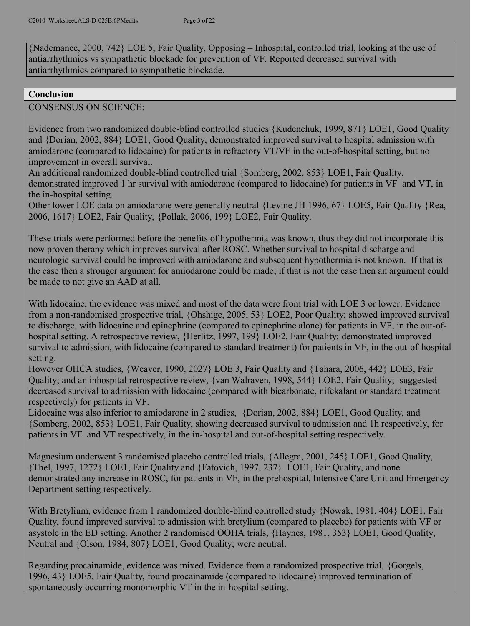{Nademanee, 2000, 742} LOE 5, Fair Quality, Opposing – Inhospital, controlled trial, looking at the use of antiarrhythmics vs sympathetic blockade for prevention of VF. Reported decreased survival with antiarrhythmics compared to sympathetic blockade.

#### **Conclusion**

CONSENSUS ON SCIENCE:

Evidence from two randomized double-blind controlled studies {Kudenchuk, 1999, 871} LOE1, Good Quality and {Dorian, 2002, 884} LOE1, Good Quality, demonstrated improved survival to hospital admission with amiodarone (compared to lidocaine) for patients in refractory VT/VF in the out-of-hospital setting, but no improvement in overall survival.

An additional randomized double-blind controlled trial {Somberg, 2002, 853} LOE1, Fair Quality, demonstrated improved 1 hr survival with amiodarone (compared to lidocaine) for patients in VF and VT, in the in-hospital setting.

Other lower LOE data on amiodarone were generally neutral {Levine JH 1996, 67} LOE5, Fair Quality {Rea, 2006, 1617} LOE2, Fair Quality, {Pollak, 2006, 199} LOE2, Fair Quality.

These trials were performed before the benefits of hypothermia was known, thus they did not incorporate this now proven therapy which improves survival after ROSC. Whether survival to hospital discharge and neurologic survival could be improved with amiodarone and subsequent hypothermia is not known. If that is the case then a stronger argument for amiodarone could be made; if that is not the case then an argument could be made to not give an AAD at all.

With lidocaine, the evidence was mixed and most of the data were from trial with LOE 3 or lower. Evidence from a non-randomised prospective trial, {Ohshige, 2005, 53} LOE2, Poor Quality; showed improved survival to discharge, with lidocaine and epinephrine (compared to epinephrine alone) for patients in VF, in the out-ofhospital setting. A retrospective review, {Herlitz, 1997, 199} LOE2, Fair Quality; demonstrated improved survival to admission, with lidocaine (compared to standard treatment) for patients in VF, in the out-of-hospital setting.

However OHCA studies, {Weaver, 1990, 2027} LOE 3, Fair Quality and {Tahara, 2006, 442} LOE3, Fair Quality; and an inhospital retrospective review, {van Walraven, 1998, 544} LOE2, Fair Quality; suggested decreased survival to admission with lidocaine (compared with bicarbonate, nifekalant or standard treatment respectively) for patients in VF.

Lidocaine was also inferior to amiodarone in 2 studies, {Dorian, 2002, 884} LOE1, Good Quality, and {Somberg, 2002, 853} LOE1, Fair Quality, showing decreased survival to admission and 1h respectively, for patients in VF and VT respectively, in the in-hospital and out-of-hospital setting respectively.

Magnesium underwent 3 randomised placebo controlled trials, {Allegra, 2001, 245} LOE1, Good Quality, {Thel, 1997, 1272} LOE1, Fair Quality and {Fatovich, 1997, 237} LOE1, Fair Quality, and none demonstrated any increase in ROSC, for patients in VF, in the prehospital, Intensive Care Unit and Emergency Department setting respectively.

With Bretylium, evidence from 1 randomized double-blind controlled study {Nowak, 1981, 404} LOE1, Fair Quality, found improved survival to admission with bretylium (compared to placebo) for patients with VF or asystole in the ED setting. Another 2 randomised OOHA trials, {Haynes, 1981, 353} LOE1, Good Quality, Neutral and {Olson, 1984, 807} LOE1, Good Quality; were neutral.

Regarding procainamide, evidence was mixed. Evidence from a randomized prospective trial, {Gorgels, 1996, 43} LOE5, Fair Quality, found procainamide (compared to lidocaine) improved termination of spontaneously occurring monomorphic VT in the in-hospital setting.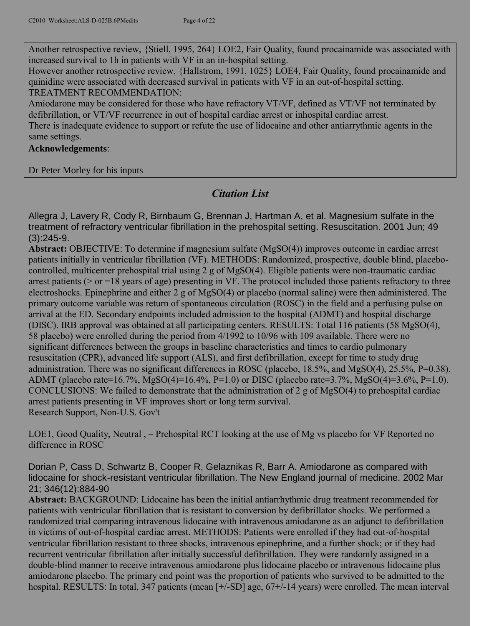Another retrospective review, {Stiell, 1995, 264} LOE2, Fair Quality, found procainamide was associated with increased survival to 1h in patients with VF in an in-hospital setting.

However another retrospective review, {Hallstrom, 1991, 1025} LOE4, Fair Quality, found procainamide and quinidine were associated with decreased survival in patients with VF in an out-of-hospital setting. TREATMENT RECOMMENDATION:

Amiodarone may be considered for those who have refractory VT/VF, defined as VT/VF not terminated by defibrillation, or VT/VF recurrence in out of hospital cardiac arrest or inhospital cardiac arrest. There is inadequate evidence to support or refute the use of lidocaine and other antiarrythmic agents in the same settings.

**Acknowledgements**:

Dr Peter Morley for his inputs

## *Citation List*

Allegra J, Lavery R, Cody R, Birnbaum G, Brennan J, Hartman A, et al. Magnesium sulfate in the treatment of refractory ventricular fibrillation in the prehospital setting. Resuscitation. 2001 Jun; 49 (3):245-9.

**Abstract:** OBJECTIVE: To determine if magnesium sulfate (MgSO(4)) improves outcome in cardiac arrest patients initially in ventricular fibrillation (VF). METHODS: Randomized, prospective, double blind, placebocontrolled, multicenter prehospital trial using 2 g of MgSO(4). Eligible patients were non-traumatic cardiac arrest patients ( $>$  or  $=18$  years of age) presenting in VF. The protocol included those patients refractory to three electroshocks. Epinephrine and either 2 g of MgSO(4) or placebo (normal saline) were then administered. The primary outcome variable was return of spontaneous circulation (ROSC) in the field and a perfusing pulse on arrival at the ED. Secondary endpoints included admission to the hospital (ADMT) and hospital discharge (DISC). IRB approval was obtained at all participating centers. RESULTS: Total 116 patients (58 MgSO(4), 58 placebo) were enrolled during the period from 4/1992 to 10/96 with 109 available. There were no significant differences between the groups in baseline characteristics and times to cardio pulmonary resuscitation (CPR), advanced life support (ALS), and first defibrillation, except for time to study drug administration. There was no significant differences in ROSC (placebo, 18.5%, and MgSO(4), 25.5%, P=0.38), ADMT (placebo rate=16.7%, MgSO(4)=16.4%, P=1.0) or DISC (placebo rate=3.7%, MgSO(4)=3.6%, P=1.0). CONCLUSIONS: We failed to demonstrate that the administration of 2 g of MgSO(4) to prehospital cardiac arrest patients presenting in VF improves short or long term survival. Research Support, Non-U.S. Gov't

LOE1, Good Quality, Neutral , – Prehospital RCT looking at the use of Mg vs placebo for VF Reported no difference in ROSC

Dorian P, Cass D, Schwartz B, Cooper R, Gelaznikas R, Barr A. Amiodarone as compared with lidocaine for shock-resistant ventricular fibrillation. The New England journal of medicine. 2002 Mar 21; 346(12):884-90

**Abstract:** BACKGROUND: Lidocaine has been the initial antiarrhythmic drug treatment recommended for patients with ventricular fibrillation that is resistant to conversion by defibrillator shocks. We performed a randomized trial comparing intravenous lidocaine with intravenous amiodarone as an adjunct to defibrillation in victims of out-of-hospital cardiac arrest. METHODS: Patients were enrolled if they had out-of-hospital ventricular fibrillation resistant to three shocks, intravenous epinephrine, and a further shock; or if they had recurrent ventricular fibrillation after initially successful defibrillation. They were randomly assigned in a double-blind manner to receive intravenous amiodarone plus lidocaine placebo or intravenous lidocaine plus amiodarone placebo. The primary end point was the proportion of patients who survived to be admitted to the hospital. RESULTS: In total, 347 patients (mean [+/-SD] age, 67+/-14 years) were enrolled. The mean interval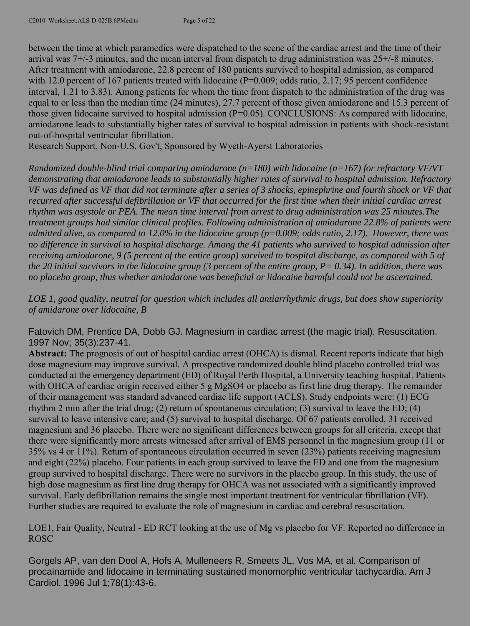between the time at which paramedics were dispatched to the scene of the cardiac arrest and the time of their arrival was 7+/-3 minutes, and the mean interval from dispatch to drug administration was 25+/-8 minutes. After treatment with amiodarone, 22.8 percent of 180 patients survived to hospital admission, as compared with 12.0 percent of 167 patients treated with lidocaine (P=0.009; odds ratio, 2.17; 95 percent confidence interval, 1.21 to 3.83). Among patients for whom the time from dispatch to the administration of the drug was equal to or less than the median time (24 minutes), 27.7 percent of those given amiodarone and 15.3 percent of those given lidocaine survived to hospital admission (P=0.05). CONCLUSIONS: As compared with lidocaine, amiodarone leads to substantially higher rates of survival to hospital admission in patients with shock-resistant out-of-hospital ventricular fibrillation.

Research Support, Non-U.S. Gov't, Sponsored by Wyeth-Ayerst Laboratories

*Randomized double-blind trial comparing amiodarone (n=180) with lidocaine (n=167) for refractory VF/VT demonstrating that amiodarone leads to substantially higher rates of survival to hospital admission. Refractory VF was defined as VF that did not terminate after a series of 3 shocks, epinephrine and fourth shock or VF that recurred after successful defibrillation or VF that occurred for the first time when their initial cardiac arrest rhythm was asystole or PEA. The mean time interval from arrest to drug administration was 25 minutes.The treatment groups had similar clinical profiles. Following administration of amiodarone 22.8% of patients were admitted alive, as compared to 12.0% in the lidocaine group (p=0.009; odds ratio, 2.17). However, there was no difference in survival to hospital discharge. Among the 41 patients who survived to hospital admission after receiving amiodarone, 9 (5 percent of the entire group) survived to hospital discharge, as compared with 5 of the 20 initial survivors in the lidocaine group (3 percent of the entire group, P= 0.34). In addition, there was no placebo group, thus whether amiodarone was beneficial or lidocaine harmful could not be ascertained.*

*LOE 1, good quality, neutral for question which includes all antiarrhythmic drugs, but does show superiority of amidarone over lidocaine, B*

Fatovich DM, Prentice DA, Dobb GJ. Magnesium in cardiac arrest (the magic trial). Resuscitation. 1997 Nov; 35(3):237-41.

**Abstract:** The prognosis of out of hospital cardiac arrest (OHCA) is dismal. Recent reports indicate that high dose magnesium may improve survival. A prospective randomized double blind placebo controlled trial was conducted at the emergency department (ED) of Royal Perth Hospital, a University teaching hospital. Patients with OHCA of cardiac origin received either 5 g MgSO4 or placebo as first line drug therapy. The remainder of their management was standard advanced cardiac life support (ACLS). Study endpoints were: (1) ECG rhythm 2 min after the trial drug; (2) return of spontaneous circulation; (3) survival to leave the ED; (4) survival to leave intensive care; and (5) survival to hospital discharge. Of 67 patients enrolled, 31 received magnesium and 36 placebo. There were no significant differences between groups for all criteria, except that there were significantly more arrests witnessed after arrival of EMS personnel in the magnesium group (11 or 35% vs 4 or 11%). Return of spontaneous circulation occurred in seven (23%) patients receiving magnesium and eight (22%) placebo. Four patients in each group survived to leave the ED and one from the magnesium group survived to hospital discharge. There were no survivors in the placebo group. In this study, the use of high dose magnesium as first line drug therapy for OHCA was not associated with a significantly improved survival. Early defibrillation remains the single most important treatment for ventricular fibrillation (VF). Further studies are required to evaluate the role of magnesium in cardiac and cerebral resuscitation.

LOE1, Fair Quality, Neutral - ED RCT looking at the use of Mg vs placebo for VF. Reported no difference in ROSC

Gorgels AP, van den Dool A, Hofs A, Mulleneers R, Smeets JL, Vos MA, et al. Comparison of procainamide and lidocaine in terminating sustained monomorphic ventricular tachycardia. Am J Cardiol. 1996 Jul 1;78(1):43-6.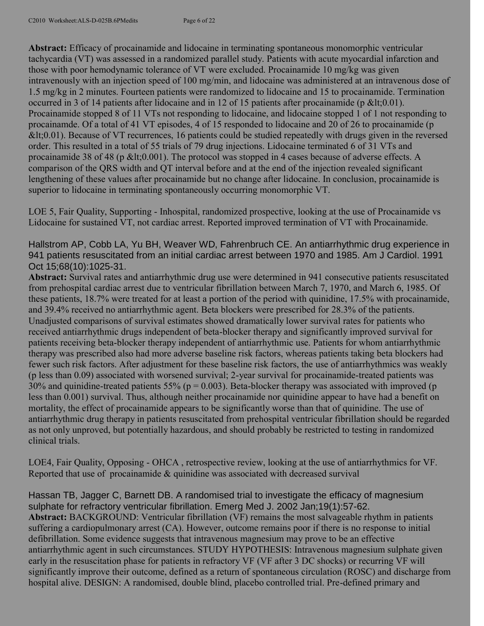**Abstract:** Efficacy of procainamide and lidocaine in terminating spontaneous monomorphic ventricular tachycardia (VT) was assessed in a randomized parallel study. Patients with acute myocardial infarction and those with poor hemodynamic tolerance of VT were excluded. Procainamide 10 mg/kg was given intravenously with an injection speed of 100 mg/min, and lidocaine was administered at an intravenous dose of 1.5 mg/kg in 2 minutes. Fourteen patients were randomized to lidocaine and 15 to procainamide. Termination occurred in 3 of 14 patients after lidocaine and in 12 of 15 patients after procainamide (p <  $0.01$ ). Procainamide stopped 8 of 11 VTs not responding to lidocaine, and lidocaine stopped 1 of 1 not responding to procainamde. Of a total of 41 VT episodes, 4 of 15 responded to lidocaine and 20 of 26 to procainamide (p  $< 10.01$ ). Because of VT recurrences, 16 patients could be studied repeatedly with drugs given in the reversed order. This resulted in a total of 55 trials of 79 drug injections. Lidocaine terminated 6 of 31 VTs and procainamide 38 of 48 (p <  $0.001$ ). The protocol was stopped in 4 cases because of adverse effects. A comparison of the QRS width and QT interval before and at the end of the injection revealed significant lengthening of these values after procainamide but no change after lidocaine. In conclusion, procainamide is superior to lidocaine in terminating spontaneously occurring monomorphic VT.

LOE 5, Fair Quality, Supporting - Inhospital, randomized prospective, looking at the use of Procainamide vs Lidocaine for sustained VT, not cardiac arrest. Reported improved termination of VT with Procainamide.

Hallstrom AP, Cobb LA, Yu BH, Weaver WD, Fahrenbruch CE. An antiarrhythmic drug experience in 941 patients resuscitated from an initial cardiac arrest between 1970 and 1985. Am J Cardiol. 1991 Oct 15;68(10):1025-31.

**Abstract:** Survival rates and antiarrhythmic drug use were determined in 941 consecutive patients resuscitated from prehospital cardiac arrest due to ventricular fibrillation between March 7, 1970, and March 6, 1985. Of these patients, 18.7% were treated for at least a portion of the period with quinidine, 17.5% with procainamide, and 39.4% received no antiarrhythmic agent. Beta blockers were prescribed for 28.3% of the patients. Unadjusted comparisons of survival estimates showed dramatically lower survival rates for patients who received antiarrhythmic drugs independent of beta-blocker therapy and significantly improved survival for patients receiving beta-blocker therapy independent of antiarrhythmic use. Patients for whom antiarrhythmic therapy was prescribed also had more adverse baseline risk factors, whereas patients taking beta blockers had fewer such risk factors. After adjustment for these baseline risk factors, the use of antiarrhythmics was weakly (p less than 0.09) associated with worsened survival; 2-year survival for procainamide-treated patients was 30% and quinidine-treated patients 55% ( $p = 0.003$ ). Beta-blocker therapy was associated with improved ( $p$ ) less than 0.001) survival. Thus, although neither procainamide nor quinidine appear to have had a benefit on mortality, the effect of procainamide appears to be significantly worse than that of quinidine. The use of antiarrhythmic drug therapy in patients resuscitated from prehospital ventricular fibrillation should be regarded as not only unproved, but potentially hazardous, and should probably be restricted to testing in randomized clinical trials.

LOE4, Fair Quality, Opposing - OHCA , retrospective review, looking at the use of antiarrhythmics for VF. Reported that use of procainamide  $\&$  quinidine was associated with decreased survival

Hassan TB, Jagger C, Barnett DB. A randomised trial to investigate the efficacy of magnesium sulphate for refractory ventricular fibrillation. Emerg Med J. 2002 Jan;19(1):57-62. **Abstract:** BACKGROUND: Ventricular fibrillation (VF) remains the most salvageable rhythm in patients suffering a cardiopulmonary arrest (CA). However, outcome remains poor if there is no response to initial defibrillation. Some evidence suggests that intravenous magnesium may prove to be an effective antiarrhythmic agent in such circumstances. STUDY HYPOTHESIS: Intravenous magnesium sulphate given early in the resuscitation phase for patients in refractory VF (VF after 3 DC shocks) or recurring VF will significantly improve their outcome, defined as a return of spontaneous circulation (ROSC) and discharge from hospital alive. DESIGN: A randomised, double blind, placebo controlled trial. Pre-defined primary and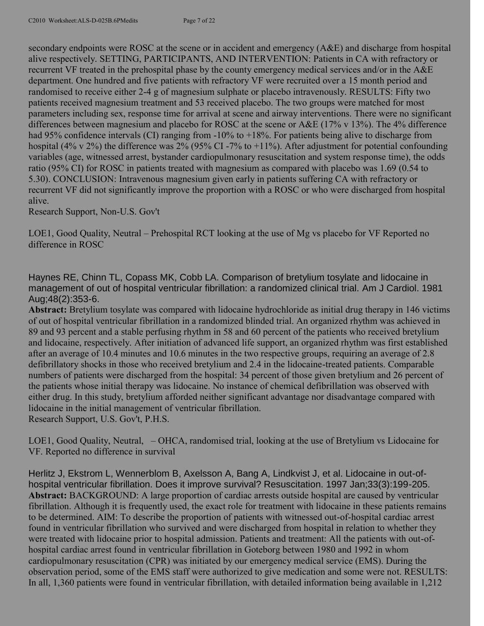secondary endpoints were ROSC at the scene or in accident and emergency (A&E) and discharge from hospital alive respectively. SETTING, PARTICIPANTS, AND INTERVENTION: Patients in CA with refractory or recurrent VF treated in the prehospital phase by the county emergency medical services and/or in the A&E department. One hundred and five patients with refractory VF were recruited over a 15 month period and randomised to receive either 2-4 g of magnesium sulphate or placebo intravenously. RESULTS: Fifty two patients received magnesium treatment and 53 received placebo. The two groups were matched for most parameters including sex, response time for arrival at scene and airway interventions. There were no significant differences between magnesium and placebo for ROSC at the scene or A&E (17% v 13%). The 4% difference had 95% confidence intervals (CI) ranging from -10% to +18%. For patients being alive to discharge from hospital (4% v 2%) the difference was 2% (95% CI -7% to +11%). After adjustment for potential confounding variables (age, witnessed arrest, bystander cardiopulmonary resuscitation and system response time), the odds ratio (95% CI) for ROSC in patients treated with magnesium as compared with placebo was 1.69 (0.54 to 5.30). CONCLUSION: Intravenous magnesium given early in patients suffering CA with refractory or recurrent VF did not significantly improve the proportion with a ROSC or who were discharged from hospital alive.

Research Support, Non-U.S. Gov't

LOE1, Good Quality, Neutral – Prehospital RCT looking at the use of Mg vs placebo for VF Reported no difference in ROSC

Haynes RE, Chinn TL, Copass MK, Cobb LA. Comparison of bretylium tosylate and lidocaine in management of out of hospital ventricular fibrillation: a randomized clinical trial. Am J Cardiol. 1981 Aug;48(2):353-6.

**Abstract:** Bretylium tosylate was compared with lidocaine hydrochloride as initial drug therapy in 146 victims of out of hospital ventricular fibrillation in a randomized blinded trial. An organized rhythm was achieved in 89 and 93 percent and a stable perfusing rhythm in 58 and 60 percent of the patients who received bretylium and lidocaine, respectively. After initiation of advanced life support, an organized rhythm was first established after an average of 10.4 minutes and 10.6 minutes in the two respective groups, requiring an average of 2.8 defibrillatory shocks in those who received bretylium and 2.4 in the lidocaine-treated patients. Comparable numbers of patients were discharged from the hospital: 34 percent of those given bretylium and 26 percent of the patients whose initial therapy was lidocaine. No instance of chemical defibrillation was observed with either drug. In this study, bretylium afforded neither significant advantage nor disadvantage compared with lidocaine in the initial management of ventricular fibrillation. Research Support, U.S. Gov't, P.H.S.

LOE1, Good Quality, Neutral, – OHCA, randomised trial, looking at the use of Bretylium vs Lidocaine for VF. Reported no difference in survival

Herlitz J, Ekstrom L, Wennerblom B, Axelsson A, Bang A, Lindkvist J, et al. Lidocaine in out-ofhospital ventricular fibrillation. Does it improve survival? Resuscitation. 1997 Jan;33(3):199-205. **Abstract:** BACKGROUND: A large proportion of cardiac arrests outside hospital are caused by ventricular fibrillation. Although it is frequently used, the exact role for treatment with lidocaine in these patients remains to be determined. AIM: To describe the proportion of patients with witnessed out-of-hospital cardiac arrest found in ventricular fibrillation who survived and were discharged from hospital in relation to whether they were treated with lidocaine prior to hospital admission. Patients and treatment: All the patients with out-ofhospital cardiac arrest found in ventricular fibrillation in Goteborg between 1980 and 1992 in whom cardiopulmonary resuscitation (CPR) was initiated by our emergency medical service (EMS). During the observation period, some of the EMS staff were authorized to give medication and some were not. RESULTS: In all, 1,360 patients were found in ventricular fibrillation, with detailed information being available in 1,212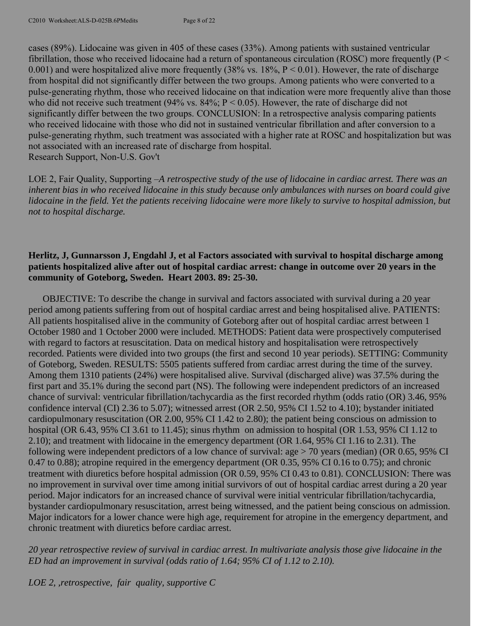cases (89%). Lidocaine was given in 405 of these cases (33%). Among patients with sustained ventricular fibrillation, those who received lidocaine had a return of spontaneous circulation (ROSC) more frequently ( $P <$ 0.001) and were hospitalized alive more frequently (38% vs.  $18\%$ ,  $P < 0.01$ ). However, the rate of discharge from hospital did not significantly differ between the two groups. Among patients who were converted to a pulse-generating rhythm, those who received lidocaine on that indication were more frequently alive than those who did not receive such treatment (94% vs.  $84\%$ ; P < 0.05). However, the rate of discharge did not significantly differ between the two groups. CONCLUSION: In a retrospective analysis comparing patients who received lidocaine with those who did not in sustained ventricular fibrillation and after conversion to a pulse-generating rhythm, such treatment was associated with a higher rate at ROSC and hospitalization but was not associated with an increased rate of discharge from hospital. Research Support, Non-U.S. Gov't

LOE 2, Fair Quality, Supporting –*A retrospective study of the use of lidocaine in cardiac arrest. There was an inherent bias in who received lidocaine in this study because only ambulances with nurses on board could give lidocaine in the field. Yet the patients receiving lidocaine were more likely to survive to hospital admission, but not to hospital discharge.*

### **Herlitz, J, Gunnarsson J, Engdahl J, et al Factors associated with survival to hospital discharge among patients hospitalized alive after out of hospital cardiac arrest: change in outcome over 20 years in the community of Goteborg, Sweden. Heart 2003. 89: 25-30.**

OBJECTIVE: To describe the change in survival and factors associated with survival during a 20 year period among patients suffering from out of hospital cardiac arrest and being hospitalised alive. PATIENTS: All patients hospitalised alive in the community of Goteborg after out of hospital cardiac arrest between 1 October 1980 and 1 October 2000 were included. METHODS: Patient data were prospectively computerised with regard to factors at resuscitation. Data on medical history and hospitalisation were retrospectively recorded. Patients were divided into two groups (the first and second 10 year periods). SETTING: Community of Goteborg, Sweden. RESULTS: 5505 patients suffered from cardiac arrest during the time of the survey. Among them 1310 patients (24%) were hospitalised alive. Survival (discharged alive) was 37.5% during the first part and 35.1% during the second part (NS). The following were independent predictors of an increased chance of survival: ventricular fibrillation/tachycardia as the first recorded rhythm (odds ratio (OR) 3.46, 95% confidence interval (CI) 2.36 to 5.07); witnessed arrest (OR 2.50, 95% CI 1.52 to 4.10); bystander initiated cardiopulmonary resuscitation (OR 2.00, 95% CI 1.42 to 2.80); the patient being conscious on admission to hospital (OR 6.43, 95% CI 3.61 to 11.45); sinus rhythm on admission to hospital (OR 1.53, 95% CI 1.12 to 2.10); and treatment with lidocaine in the emergency department (OR 1.64, 95% CI 1.16 to 2.31). The following were independent predictors of a low chance of survival: age > 70 years (median) (OR 0.65, 95% CI 0.47 to 0.88); atropine required in the emergency department (OR 0.35, 95% CI 0.16 to 0.75); and chronic treatment with diuretics before hospital admission (OR 0.59, 95% CI 0.43 to 0.81). CONCLUSION: There was no improvement in survival over time among initial survivors of out of hospital cardiac arrest during a 20 year period. Major indicators for an increased chance of survival were initial ventricular fibrillation/tachycardia, bystander cardiopulmonary resuscitation, arrest being witnessed, and the patient being conscious on admission. Major indicators for a lower chance were high age, requirement for atropine in the emergency department, and chronic treatment with diuretics before cardiac arrest.

*20 year retrospective review of survival in cardiac arrest. In multivariate analysis those give lidocaine in the ED had an improvement in survival (odds ratio of 1.64; 95% CI of 1.12 to 2.10).*

*LOE 2, ,retrospective, fair quality, supportive C*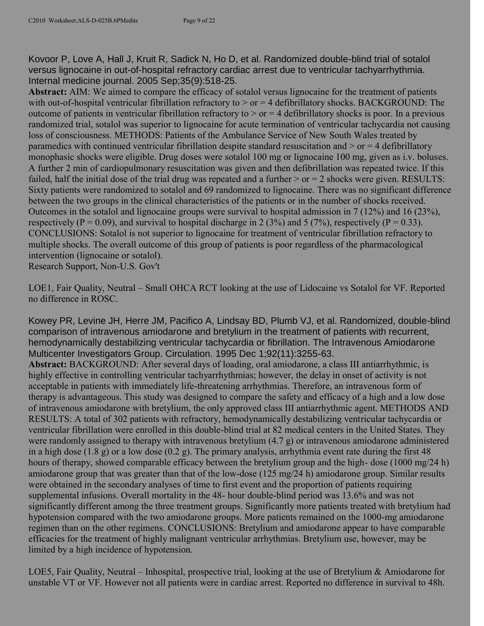Kovoor P, Love A, Hall J, Kruit R, Sadick N, Ho D, et al. Randomized double-blind trial of sotalol versus lignocaine in out-of-hospital refractory cardiac arrest due to ventricular tachyarrhythmia. Internal medicine journal. 2005 Sep;35(9):518-25.

**Abstract:** AIM: We aimed to compare the efficacy of sotalol versus lignocaine for the treatment of patients with out-of-hospital ventricular fibrillation refractory to  $>$  or  $=$  4 defibrillatory shocks. BACKGROUND: The outcome of patients in ventricular fibrillation refractory to  $>$  or  $=$  4 defibrillatory shocks is poor. In a previous randomized trial, sotalol was superior to lignocaine for acute termination of ventricular tachycardia not causing loss of consciousness. METHODS: Patients of the Ambulance Service of New South Wales treated by paramedics with continued ventricular fibrillation despite standard resuscitation and  $>$  or  $=$  4 defibrillatory monophasic shocks were eligible. Drug doses were sotalol 100 mg or lignocaine 100 mg, given as i.v. boluses. A further 2 min of cardiopulmonary resuscitation was given and then defibrillation was repeated twice. If this failed, half the initial dose of the trial drug was repeated and a further  $>$  or  $=$  2 shocks were given. RESULTS: Sixty patients were randomized to sotalol and 69 randomized to lignocaine. There was no significant difference between the two groups in the clinical characteristics of the patients or in the number of shocks received. Outcomes in the sotalol and lignocaine groups were survival to hospital admission in 7 (12%) and 16 (23%), respectively (P = 0.09), and survival to hospital discharge in 2 (3%) and 5 (7%), respectively (P = 0.33). CONCLUSIONS: Sotalol is not superior to lignocaine for treatment of ventricular fibrillation refractory to multiple shocks. The overall outcome of this group of patients is poor regardless of the pharmacological intervention (lignocaine or sotalol).

Research Support, Non-U.S. Gov't

LOE1, Fair Quality, Neutral – Small OHCA RCT looking at the use of Lidocaine vs Sotalol for VF. Reported no difference in ROSC.

Kowey PR, Levine JH, Herre JM, Pacifico A, Lindsay BD, Plumb VJ, et al. Randomized, double-blind comparison of intravenous amiodarone and bretylium in the treatment of patients with recurrent, hemodynamically destabilizing ventricular tachycardia or fibrillation. The Intravenous Amiodarone Multicenter Investigators Group. Circulation. 1995 Dec 1;92(11):3255-63.

**Abstract:** BACKGROUND: After several days of loading, oral amiodarone, a class III antiarrhythmic, is highly effective in controlling ventricular tachyarrhythmias; however, the delay in onset of activity is not acceptable in patients with immediately life-threatening arrhythmias. Therefore, an intravenous form of therapy is advantageous. This study was designed to compare the safety and efficacy of a high and a low dose of intravenous amiodarone with bretylium, the only approved class III antiarrhythmic agent. METHODS AND RESULTS: A total of 302 patients with refractory, hemodynamically destabilizing ventricular tachycardia or ventricular fibrillation were enrolled in this double-blind trial at 82 medical centers in the United States. They were randomly assigned to therapy with intravenous bretylium (4.7 g) or intravenous amiodarone administered in a high dose (1.8 g) or a low dose (0.2 g). The primary analysis, arrhythmia event rate during the first 48 hours of therapy, showed comparable efficacy between the bretylium group and the high- dose (1000 mg/24 h) amiodarone group that was greater than that of the low-dose (125 mg/24 h) amiodarone group. Similar results were obtained in the secondary analyses of time to first event and the proportion of patients requiring supplemental infusions. Overall mortality in the 48- hour double-blind period was 13.6% and was not significantly different among the three treatment groups. Significantly more patients treated with bretylium had hypotension compared with the two amiodarone groups. More patients remained on the 1000-mg amiodarone regimen than on the other regimens. CONCLUSIONS: Bretylium and amiodarone appear to have comparable efficacies for the treatment of highly malignant ventricular arrhythmias. Bretylium use, however, may be limited by a high incidence of hypotension.

LOE5, Fair Quality, Neutral – Inhospital, prospective trial, looking at the use of Bretylium & Amiodarone for unstable VT or VF. However not all patients were in cardiac arrest. Reported no difference in survival to 48h.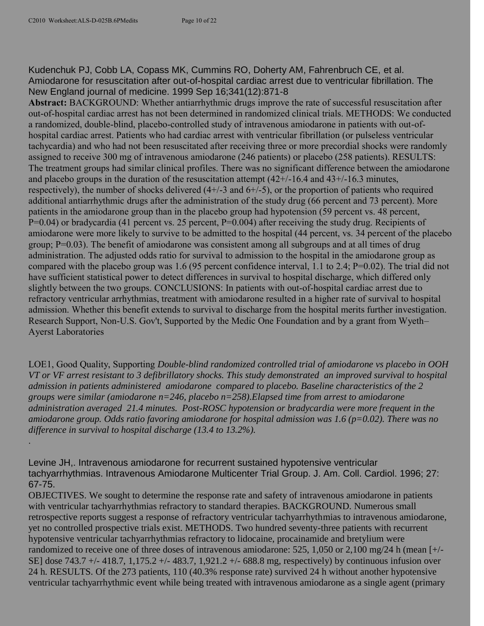.

Kudenchuk PJ, Cobb LA, Copass MK, Cummins RO, Doherty AM, Fahrenbruch CE, et al. Amiodarone for resuscitation after out-of-hospital cardiac arrest due to ventricular fibrillation. The New England journal of medicine. 1999 Sep 16;341(12):871-8

**Abstract:** BACKGROUND: Whether antiarrhythmic drugs improve the rate of successful resuscitation after out-of-hospital cardiac arrest has not been determined in randomized clinical trials. METHODS: We conducted a randomized, double-blind, placebo-controlled study of intravenous amiodarone in patients with out-ofhospital cardiac arrest. Patients who had cardiac arrest with ventricular fibrillation (or pulseless ventricular tachycardia) and who had not been resuscitated after receiving three or more precordial shocks were randomly assigned to receive 300 mg of intravenous amiodarone (246 patients) or placebo (258 patients). RESULTS: The treatment groups had similar clinical profiles. There was no significant difference between the amiodarone and placebo groups in the duration of the resuscitation attempt  $(42+/16.4$  and  $43+/16.3$  minutes, respectively), the number of shocks delivered (4+/-3 and 6+/-5), or the proportion of patients who required additional antiarrhythmic drugs after the administration of the study drug (66 percent and 73 percent). More patients in the amiodarone group than in the placebo group had hypotension (59 percent vs. 48 percent, P=0.04) or bradycardia (41 percent vs. 25 percent, P=0.004) after receiving the study drug. Recipients of amiodarone were more likely to survive to be admitted to the hospital (44 percent, vs. 34 percent of the placebo group; P=0.03). The benefit of amiodarone was consistent among all subgroups and at all times of drug administration. The adjusted odds ratio for survival to admission to the hospital in the amiodarone group as compared with the placebo group was 1.6 (95 percent confidence interval, 1.1 to 2.4; P=0.02). The trial did not have sufficient statistical power to detect differences in survival to hospital discharge, which differed only slightly between the two groups. CONCLUSIONS: In patients with out-of-hospital cardiac arrest due to refractory ventricular arrhythmias, treatment with amiodarone resulted in a higher rate of survival to hospital admission. Whether this benefit extends to survival to discharge from the hospital merits further investigation. Research Support, Non-U.S. Gov't, Supported by the Medic One Foundation and by a grant from Wyeth– Ayerst Laboratories

LOE1, Good Quality, Supporting *Double-blind randomized controlled trial of amiodarone vs placebo in OOH VT or VF arrest resistant to 3 defibrillatory shocks. This study demonstrated an improved survival to hospital admission in patients administered amiodarone compared to placebo. Baseline characteristics of the 2 groups were similar (amiodarone n=246, placebo n=258).Elapsed time from arrest to amiodarone administration averaged 21.4 minutes. Post-ROSC hypotension or bradycardia were more frequent in the amiodarone group. Odds ratio favoring amiodarone for hospital admission was 1.6 (p=0.02). There was no difference in survival to hospital discharge (13.4 to 13.2%).*

Levine JH,. Intravenous amiodarone for recurrent sustained hypotensive ventricular tachyarrhythmias. Intravenous Amiodarone Multicenter Trial Group. J. Am. Coll. Cardiol. 1996; 27: 67-75.

OBJECTIVES. We sought to determine the response rate and safety of intravenous amiodarone in patients with ventricular tachyarrhythmias refractory to standard therapies. BACKGROUND. Numerous small retrospective reports suggest a response of refractory ventricular tachyarrhythmias to intravenous amiodarone, yet no controlled prospective trials exist. METHODS. Two hundred seventy-three patients with recurrent hypotensive ventricular tachyarrhythmias refractory to lidocaine, procainamide and bretylium were randomized to receive one of three doses of intravenous amiodarone: 525, 1,050 or 2,100 mg/24 h (mean [+/- SE] dose 743.7 +/- 418.7, 1,175.2 +/- 483.7, 1,921.2 +/- 688.8 mg, respectively) by continuous infusion over 24 h. RESULTS. Of the 273 patients, 110 (40.3% response rate) survived 24 h without another hypotensive ventricular tachyarrhythmic event while being treated with intravenous amiodarone as a single agent (primary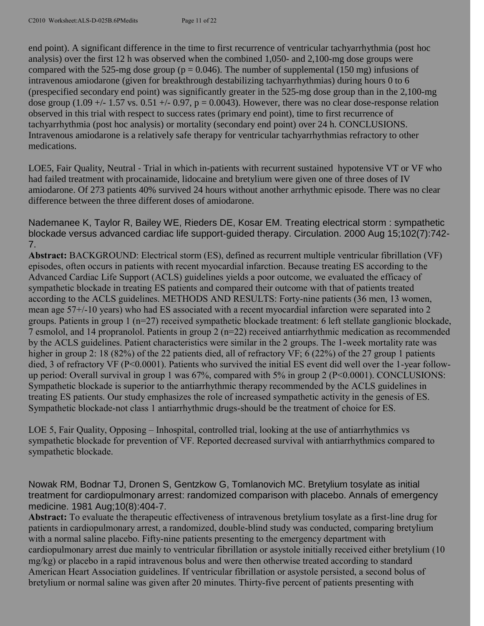end point). A significant difference in the time to first recurrence of ventricular tachyarrhythmia (post hoc analysis) over the first 12 h was observed when the combined 1,050- and 2,100-mg dose groups were compared with the 525-mg dose group ( $p = 0.046$ ). The number of supplemental (150 mg) infusions of intravenous amiodarone (given for breakthrough destabilizing tachyarrhythmias) during hours 0 to 6 (prespecified secondary end point) was significantly greater in the 525-mg dose group than in the 2,100-mg dose group (1.09 +/- 1.57 vs.  $0.51$  +/- 0.97, p = 0.0043). However, there was no clear dose-response relation observed in this trial with respect to success rates (primary end point), time to first recurrence of tachyarrhythmia (post hoc analysis) or mortality (secondary end point) over 24 h. CONCLUSIONS. Intravenous amiodarone is a relatively safe therapy for ventricular tachyarrhythmias refractory to other medications.

LOE5, Fair Quality, Neutral - Trial in which in-patients with recurrent sustained hypotensive VT or VF who had failed treatment with procainamide, lidocaine and bretylium were given one of three doses of IV amiodarone. Of 273 patients 40% survived 24 hours without another arrhythmic episode. There was no clear difference between the three different doses of amiodarone.

Nademanee K, Taylor R, Bailey WE, Rieders DE, Kosar EM. Treating electrical storm : sympathetic blockade versus advanced cardiac life support-guided therapy. Circulation. 2000 Aug 15;102(7):742- 7.

**Abstract:** BACKGROUND: Electrical storm (ES), defined as recurrent multiple ventricular fibrillation (VF) episodes, often occurs in patients with recent myocardial infarction. Because treating ES according to the Advanced Cardiac Life Support (ACLS) guidelines yields a poor outcome, we evaluated the efficacy of sympathetic blockade in treating ES patients and compared their outcome with that of patients treated according to the ACLS guidelines. METHODS AND RESULTS: Forty-nine patients (36 men, 13 women, mean age 57+/-10 years) who had ES associated with a recent myocardial infarction were separated into 2 groups. Patients in group 1 (n=27) received sympathetic blockade treatment: 6 left stellate ganglionic blockade, 7 esmolol, and 14 propranolol. Patients in group 2 (n=22) received antiarrhythmic medication as recommended by the ACLS guidelines. Patient characteristics were similar in the 2 groups. The 1-week mortality rate was higher in group 2: 18 (82%) of the 22 patients died, all of refractory VF; 6 (22%) of the 27 group 1 patients died, 3 of refractory VF (P<0.0001). Patients who survived the initial ES event did well over the 1-year followup period: Overall survival in group 1 was 67%, compared with 5% in group 2 (P<0.0001). CONCLUSIONS: Sympathetic blockade is superior to the antiarrhythmic therapy recommended by the ACLS guidelines in treating ES patients. Our study emphasizes the role of increased sympathetic activity in the genesis of ES. Sympathetic blockade-not class 1 antiarrhythmic drugs-should be the treatment of choice for ES.

LOE 5, Fair Quality, Opposing – Inhospital, controlled trial, looking at the use of antiarrhythmics vs sympathetic blockade for prevention of VF. Reported decreased survival with antiarrhythmics compared to sympathetic blockade.

Nowak RM, Bodnar TJ, Dronen S, Gentzkow G, Tomlanovich MC. Bretylium tosylate as initial treatment for cardiopulmonary arrest: randomized comparison with placebo. Annals of emergency medicine. 1981 Aug;10(8):404-7.

**Abstract:** To evaluate the therapeutic effectiveness of intravenous bretylium tosylate as a first-line drug for patients in cardiopulmonary arrest, a randomized, double-blind study was conducted, comparing bretylium with a normal saline placebo. Fifty-nine patients presenting to the emergency department with cardiopulmonary arrest due mainly to ventricular fibrillation or asystole initially received either bretylium (10 mg/kg) or placebo in a rapid intravenous bolus and were then otherwise treated according to standard American Heart Association guidelines. If ventricular fibrillation or asystole persisted, a second bolus of bretylium or normal saline was given after 20 minutes. Thirty-five percent of patients presenting with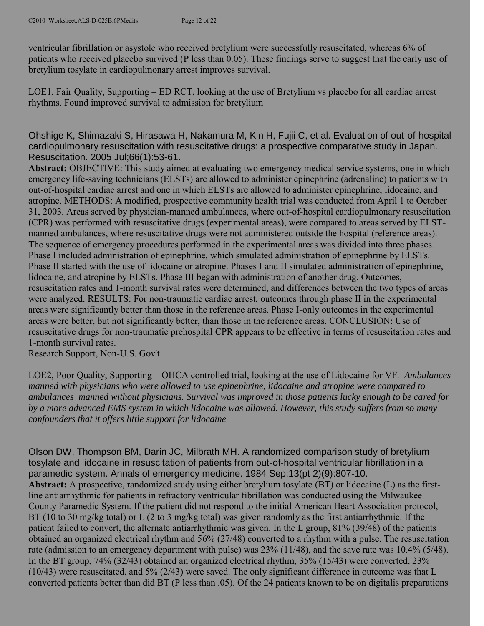ventricular fibrillation or asystole who received bretylium were successfully resuscitated, whereas 6% of patients who received placebo survived (P less than 0.05). These findings serve to suggest that the early use of bretylium tosylate in cardiopulmonary arrest improves survival.

LOE1, Fair Quality, Supporting – ED RCT, looking at the use of Bretylium vs placebo for all cardiac arrest rhythms. Found improved survival to admission for bretylium

Ohshige K, Shimazaki S, Hirasawa H, Nakamura M, Kin H, Fujii C, et al. Evaluation of out-of-hospital cardiopulmonary resuscitation with resuscitative drugs: a prospective comparative study in Japan. Resuscitation. 2005 Jul;66(1):53-61.

**Abstract:** OBJECTIVE: This study aimed at evaluating two emergency medical service systems, one in which emergency life-saving technicians (ELSTs) are allowed to administer epinephrine (adrenaline) to patients with out-of-hospital cardiac arrest and one in which ELSTs are allowed to administer epinephrine, lidocaine, and atropine. METHODS: A modified, prospective community health trial was conducted from April 1 to October 31, 2003. Areas served by physician-manned ambulances, where out-of-hospital cardiopulmonary resuscitation (CPR) was performed with resuscitative drugs (experimental areas), were compared to areas served by ELSTmanned ambulances, where resuscitative drugs were not administered outside the hospital (reference areas). The sequence of emergency procedures performed in the experimental areas was divided into three phases. Phase I included administration of epinephrine, which simulated administration of epinephrine by ELSTs. Phase II started with the use of lidocaine or atropine. Phases I and II simulated administration of epinephrine, lidocaine, and atropine by ELSTs. Phase III began with administration of another drug. Outcomes, resuscitation rates and 1-month survival rates were determined, and differences between the two types of areas were analyzed. RESULTS: For non-traumatic cardiac arrest, outcomes through phase II in the experimental areas were significantly better than those in the reference areas. Phase I-only outcomes in the experimental areas were better, but not significantly better, than those in the reference areas. CONCLUSION: Use of resuscitative drugs for non-traumatic prehospital CPR appears to be effective in terms of resuscitation rates and 1-month survival rates.

Research Support, Non-U.S. Gov't

LOE2, Poor Quality, Supporting – OHCA controlled trial, looking at the use of Lidocaine for VF. *Ambulances manned with physicians who were allowed to use epinephrine, lidocaine and atropine were compared to ambulances manned without physicians. Survival was improved in those patients lucky enough to be cared for by a more advanced EMS system in which lidocaine was allowed. However, this study suffers from so many confounders that it offers little support for lidocaine*

Olson DW, Thompson BM, Darin JC, Milbrath MH. A randomized comparison study of bretylium tosylate and lidocaine in resuscitation of patients from out-of-hospital ventricular fibrillation in a paramedic system. Annals of emergency medicine. 1984 Sep;13(pt 2)(9):807-10. **Abstract:** A prospective, randomized study using either bretylium tosylate (BT) or lidocaine (L) as the firstline antiarrhythmic for patients in refractory ventricular fibrillation was conducted using the Milwaukee County Paramedic System. If the patient did not respond to the initial American Heart Association protocol, BT (10 to 30 mg/kg total) or L (2 to 3 mg/kg total) was given randomly as the first antiarrhythmic. If the patient failed to convert, the alternate antiarrhythmic was given. In the L group, 81% (39/48) of the patients obtained an organized electrical rhythm and 56% (27/48) converted to a rhythm with a pulse. The resuscitation rate (admission to an emergency department with pulse) was 23% (11/48), and the save rate was 10.4% (5/48). In the BT group, 74% (32/43) obtained an organized electrical rhythm, 35% (15/43) were converted, 23% (10/43) were resuscitated, and 5% (2/43) were saved. The only significant difference in outcome was that L converted patients better than did BT (P less than .05). Of the 24 patients known to be on digitalis preparations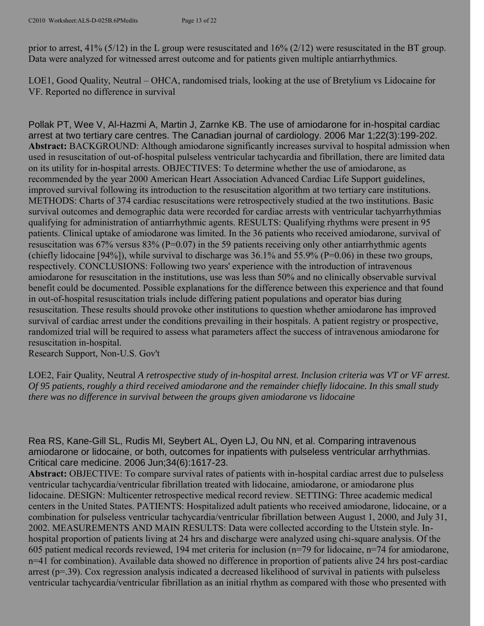prior to arrest, 41% (5/12) in the L group were resuscitated and 16% (2/12) were resuscitated in the BT group. Data were analyzed for witnessed arrest outcome and for patients given multiple antiarrhythmics.

LOE1, Good Quality, Neutral – OHCA, randomised trials, looking at the use of Bretylium vs Lidocaine for VF. Reported no difference in survival

Pollak PT, Wee V, Al-Hazmi A, Martin J, Zarnke KB. The use of amiodarone for in-hospital cardiac arrest at two tertiary care centres. The Canadian journal of cardiology. 2006 Mar 1;22(3):199-202. **Abstract:** BACKGROUND: Although amiodarone significantly increases survival to hospital admission when used in resuscitation of out-of-hospital pulseless ventricular tachycardia and fibrillation, there are limited data on its utility for in-hospital arrests. OBJECTIVES: To determine whether the use of amiodarone, as recommended by the year 2000 American Heart Association Advanced Cardiac Life Support guidelines, improved survival following its introduction to the resuscitation algorithm at two tertiary care institutions. METHODS: Charts of 374 cardiac resuscitations were retrospectively studied at the two institutions. Basic survival outcomes and demographic data were recorded for cardiac arrests with ventricular tachyarrhythmias qualifying for administration of antiarrhythmic agents. RESULTS: Qualifying rhythms were present in 95 patients. Clinical uptake of amiodarone was limited. In the 36 patients who received amiodarone, survival of resuscitation was  $67\%$  versus  $83\%$  (P=0.07) in the 59 patients receiving only other antiarrhythmic agents (chiefly lidocaine [94%]), while survival to discharge was 36.1% and 55.9% (P=0.06) in these two groups, respectively. CONCLUSIONS: Following two years' experience with the introduction of intravenous amiodarone for resuscitation in the institutions, use was less than 50% and no clinically observable survival benefit could be documented. Possible explanations for the difference between this experience and that found in out-of-hospital resuscitation trials include differing patient populations and operator bias during resuscitation. These results should provoke other institutions to question whether amiodarone has improved survival of cardiac arrest under the conditions prevailing in their hospitals. A patient registry or prospective, randomized trial will be required to assess what parameters affect the success of intravenous amiodarone for resuscitation in-hospital.

Research Support, Non-U.S. Gov't

LOE2, Fair Quality, Neutral *A retrospective study of in-hospital arrest. Inclusion criteria was VT or VF arrest. Of 95 patients, roughly a third received amiodarone and the remainder chiefly lidocaine. In this small study there was no difference in survival between the groups given amiodarone vs lidocaine*

Rea RS, Kane-Gill SL, Rudis MI, Seybert AL, Oyen LJ, Ou NN, et al. Comparing intravenous amiodarone or lidocaine, or both, outcomes for inpatients with pulseless ventricular arrhythmias. Critical care medicine. 2006 Jun;34(6):1617-23.

**Abstract:** OBJECTIVE: To compare survival rates of patients with in-hospital cardiac arrest due to pulseless ventricular tachycardia/ventricular fibrillation treated with lidocaine, amiodarone, or amiodarone plus lidocaine. DESIGN: Multicenter retrospective medical record review. SETTING: Three academic medical centers in the United States. PATIENTS: Hospitalized adult patients who received amiodarone, lidocaine, or a combination for pulseless ventricular tachycardia/ventricular fibrillation between August 1, 2000, and July 31, 2002. MEASUREMENTS AND MAIN RESULTS: Data were collected according to the Utstein style. Inhospital proportion of patients living at 24 hrs and discharge were analyzed using chi-square analysis. Of the 605 patient medical records reviewed, 194 met criteria for inclusion (n=79 for lidocaine, n=74 for amiodarone, n=41 for combination). Available data showed no difference in proportion of patients alive 24 hrs post-cardiac arrest (p=.39). Cox regression analysis indicated a decreased likelihood of survival in patients with pulseless ventricular tachycardia/ventricular fibrillation as an initial rhythm as compared with those who presented with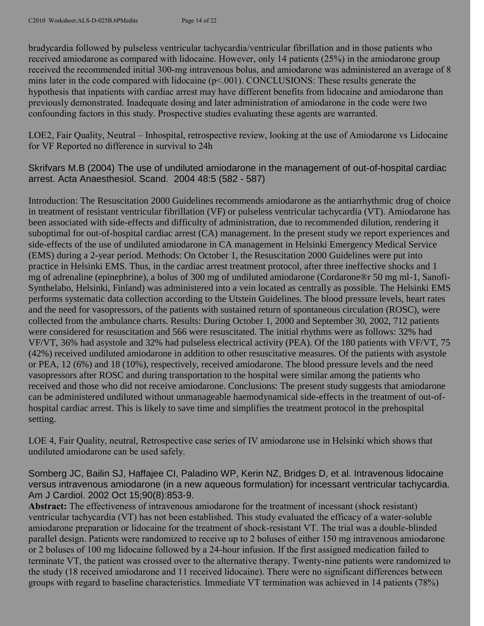bradycardia followed by pulseless ventricular tachycardia/ventricular fibrillation and in those patients who received amiodarone as compared with lidocaine. However, only 14 patients (25%) in the amiodarone group received the recommended initial 300-mg intravenous bolus, and amiodarone was administered an average of 8 mins later in the code compared with lidocaine ( $p<.001$ ). CONCLUSIONS: These results generate the hypothesis that inpatients with cardiac arrest may have different benefits from lidocaine and amiodarone than previously demonstrated. Inadequate dosing and later administration of amiodarone in the code were two confounding factors in this study. Prospective studies evaluating these agents are warranted.

LOE2, Fair Quality, Neutral – Inhospital, retrospective review, looking at the use of Amiodarone vs Lidocaine for VF Reported no difference in survival to 24h

Skrifvars M.B (2004) The use of undiluted amiodarone [in the management of out-of-hospital cardiac](https://webmail.tufts-nemc.org/exchweb/bin/redir.asp?URL=http://www.embase.com/search?search_action=view%26search_format=view%26search_ruids=EMBASE.38649588%26search_viewformat=full)  [arrest.](https://webmail.tufts-nemc.org/exchweb/bin/redir.asp?URL=http://www.embase.com/search?search_action=view%26search_format=view%26search_ruids=EMBASE.38649588%26search_viewformat=full) Acta Anaesthesiol. Scand. 2004 48:5 (582 - 587)

Introduction: The Resuscitation 2000 Guidelines recommends amiodarone as the antiarrhythmic drug of choice in treatment of resistant ventricular fibrillation (VF) or pulseless ventricular tachycardia (VT). Amiodarone has been associated with side-effects and difficulty of administration, due to recommended dilution, rendering it suboptimal for out-of-hospital cardiac arrest (CA) management. In the present study we report experiences and side-effects of the use of undiluted amiodarone in CA management in Helsinki Emergency Medical Service (EMS) during a 2-year period. Methods: On October 1, the Resuscitation 2000 Guidelines were put into practice in Helsinki EMS. Thus, in the cardiac arrest treatment protocol, after three ineffective shocks and 1 mg of adrenaline (epinephrine), a bolus of 300 mg of undiluted amiodarone (Cordarone®r 50 mg ml-1, Sanofi-Synthelabo, Helsinki, Finland) was administered into a vein located as centrally as possible. The Helsinki EMS performs systematic data collection according to the Utstein Guidelines. The blood pressure levels, heart rates and the need for vasopressors, of the patients with sustained return of spontaneous circulation (ROSC), were collected from the ambulance charts. Results: During October 1, 2000 and September 30, 2002, 712 patients were considered for resuscitation and 566 were resuscitated. The initial rhythms were as follows: 32% had VF/VT, 36% had asystole and 32% had pulseless electrical activity (PEA). Of the 180 patients with VF/VT, 75 (42%) received undiluted amiodarone in addition to other resuscitative measures. Of the patients with asystole or PEA, 12 (6%) and 18 (10%), respectively, received amiodarone. The blood pressure levels and the need vasopressors after ROSC and during transportation to the hospital were similar among the patients who received and those who did not receive amiodarone. Conclusions: The present study suggests that amiodarone can be administered undiluted without unmanageable haemodynamical side-effects in the treatment of out-ofhospital cardiac arrest. This is likely to save time and simplifies the treatment protocol in the prehospital setting.

LOE 4, Fair Quality, neutral, Retrospective case series of IV amiodarone use in Helsinki which shows that undiluted amiodarone can be used safely.

Somberg JC, Bailin SJ, Haffajee CI, Paladino WP, Kerin NZ, Bridges D, et al. Intravenous lidocaine versus intravenous amiodarone (in a new aqueous formulation) for incessant ventricular tachycardia. Am J Cardiol. 2002 Oct 15;90(8):853-9.

**Abstract:** The effectiveness of intravenous amiodarone for the treatment of incessant (shock resistant) ventricular tachycardia (VT) has not been established. This study evaluated the efficacy of a water-soluble amiodarone preparation or lidocaine for the treatment of shock-resistant VT. The trial was a double-blinded parallel design. Patients were randomized to receive up to 2 boluses of either 150 mg intravenous amiodarone or 2 boluses of 100 mg lidocaine followed by a 24-hour infusion. If the first assigned medication failed to terminate VT, the patient was crossed over to the alternative therapy. Twenty-nine patients were randomized to the study (18 received amiodarone and 11 received lidocaine). There were no significant differences between groups with regard to baseline characteristics. Immediate VT termination was achieved in 14 patients (78%)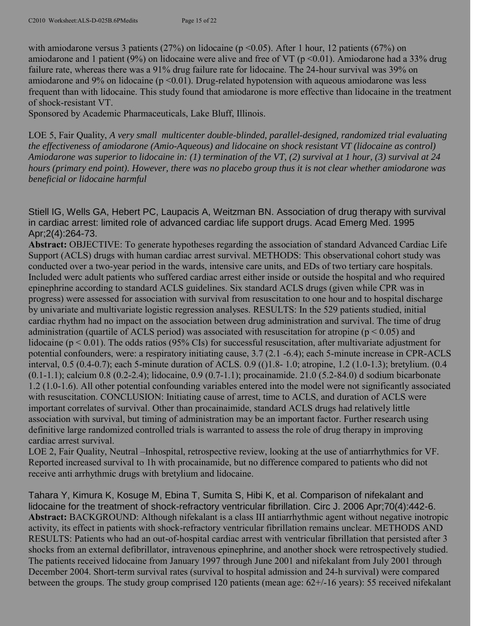with amiodarone versus 3 patients (27%) on lidocaine ( $p \le 0.05$ ). After 1 hour, 12 patients (67%) on amiodarone and 1 patient (9%) on lidocaine were alive and free of VT ( $p$  <0.01). Amiodarone had a 33% drug failure rate, whereas there was a 91% drug failure rate for lidocaine. The 24-hour survival was 39% on amiodarone and 9% on lidocaine ( $p \le 0.01$ ). Drug-related hypotension with aqueous amiodarone was less frequent than with lidocaine. This study found that amiodarone is more effective than lidocaine in the treatment of shock-resistant VT.

Sponsored by Academic Pharmaceuticals, Lake Bluff, Illinois.

LOE 5, Fair Quality, *A very small multicenter double-blinded, parallel-designed, randomized trial evaluating the effectiveness of amiodarone (Amio-Aqueous) and lidocaine on shock resistant VT (lidocaine as control) Amiodarone was superior to lidocaine in: (1) termination of the VT, (2) survival at 1 hour, (3) survival at 24 hours (primary end point). However, there was no placebo group thus it is not clear whether amiodarone was beneficial or lidocaine harmful*

Stiell IG, Wells GA, Hebert PC, Laupacis A, Weitzman BN. Association of drug therapy with survival in cardiac arrest: limited role of advanced cardiac life support drugs. Acad Emerg Med. 1995 Apr;2(4):264-73.

**Abstract:** OBJECTIVE: To generate hypotheses regarding the association of standard Advanced Cardiac Life Support (ACLS) drugs with human cardiac arrest survival. METHODS: This observational cohort study was conducted over a two-year period in the wards, intensive care units, and EDs of two tertiary care hospitals. Included werc adult patients who suffered cardiac arrest either inside or outside the hospital and who required epinephrine according to standard ACLS guidelines. Six standard ACLS drugs (given while CPR was in progress) were assessed for association with survival from resuscitation to one hour and to hospital discharge by univariate and multivariate logistic regression analyses. RESULTS: In the 529 patients studied, initial cardiac rhythm had no impact on the association between drug administration and survival. The time of drug administration (quartile of ACLS period) was associated with resuscitation for atropine ( $p < 0.05$ ) and lidocaine ( $p < 0.01$ ). The odds ratios (95% CIs) for successful resuscitation, after multivariate adjustment for potential confounders, were: a respiratory initiating cause, 3.7 (2.1 -6.4); each 5-minute increase in CPR-ACLS interval, 0.5 (0.4-0.7); each 5-minute duration of ACLS. 0.9 (()1.8- 1.0; atropine, 1.2 (1.0-1.3); bretylium. (0.4 (0.1-1.1); calcium 0.8 (0.2-2.4); lidocaine, 0.9 (0.7-1.1); procainamide. 21.0 (5.2-84.0) d sodium bicarbonate 1.2 (1.0-1.6). All other potential confounding variables entered into the model were not significantly associated with resuscitation. CONCLUSION: Initiating cause of arrest, time to ACLS, and duration of ACLS were important correlates of survival. Other than procainaimide, standard ACLS drugs had relatively little association with survival, but timing of administration may be an important factor. Further research using definitive large randomized controlled trials is warranted to assess the role of drug therapy in improving cardiac arrest survival.

LOE 2, Fair Quality, Neutral –Inhospital, retrospective review, looking at the use of antiarrhythmics for VF. Reported increased survival to 1h with procainamide, but no difference compared to patients who did not receive anti arrhythmic drugs with bretylium and lidocaine.

Tahara Y, Kimura K, Kosuge M, Ebina T, Sumita S, Hibi K, et al. Comparison of nifekalant and lidocaine for the treatment of shock-refractory ventricular fibrillation. Circ J. 2006 Apr;70(4):442-6. **Abstract:** BACKGROUND: Although nifekalant is a class III antiarrhythmic agent without negative inotropic activity, its effect in patients with shock-refractory ventricular fibrillation remains unclear. METHODS AND RESULTS: Patients who had an out-of-hospital cardiac arrest with ventricular fibrillation that persisted after 3 shocks from an external defibrillator, intravenous epinephrine, and another shock were retrospectively studied. The patients received lidocaine from January 1997 through June 2001 and nifekalant from July 2001 through December 2004. Short-term survival rates (survival to hospital admission and 24-h survival) were compared between the groups. The study group comprised 120 patients (mean age: 62+/-16 years): 55 received nifekalant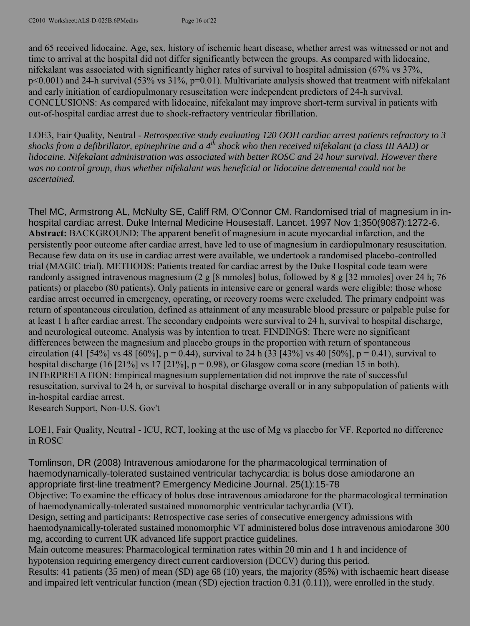and 65 received lidocaine. Age, sex, history of ischemic heart disease, whether arrest was witnessed or not and time to arrival at the hospital did not differ significantly between the groups. As compared with lidocaine, nifekalant was associated with significantly higher rates of survival to hospital admission (67% vs 37%, p<0.001) and 24-h survival (53% vs 31%, p=0.01). Multivariate analysis showed that treatment with nifekalant and early initiation of cardiopulmonary resuscitation were independent predictors of 24-h survival. CONCLUSIONS: As compared with lidocaine, nifekalant may improve short-term survival in patients with out-of-hospital cardiac arrest due to shock-refractory ventricular fibrillation.

LOE3, Fair Quality, Neutral - *Retrospective study evaluating 120 OOH cardiac arrest patients refractory to 3 shocks from a defibrillator, epinephrine and a 4th shock who then received nifekalant (a class III AAD) or lidocaine. Nifekalant administration was associated with better ROSC and 24 hour survival. However there was no control group, thus whether nifekalant was beneficial or lidocaine detremental could not be ascertained.*

Thel MC, Armstrong AL, McNulty SE, Califf RM, O'Connor CM. Randomised trial of magnesium in inhospital cardiac arrest. Duke Internal Medicine Housestaff. Lancet. 1997 Nov 1;350(9087):1272-6. **Abstract:** BACKGROUND: The apparent benefit of magnesium in acute myocardial infarction, and the persistently poor outcome after cardiac arrest, have led to use of magnesium in cardiopulmonary resuscitation. Because few data on its use in cardiac arrest were available, we undertook a randomised placebo-controlled trial (MAGIC trial). METHODS: Patients treated for cardiac arrest by the Duke Hospital code team were randomly assigned intravenous magnesium (2 g [8 mmoles] bolus, followed by 8 g [32 mmoles] over 24 h; 76 patients) or placebo (80 patients). Only patients in intensive care or general wards were eligible; those whose cardiac arrest occurred in emergency, operating, or recovery rooms were excluded. The primary endpoint was return of spontaneous circulation, defined as attainment of any measurable blood pressure or palpable pulse for at least 1 h after cardiac arrest. The secondary endpoints were survival to 24 h, survival to hospital discharge, and neurological outcome. Analysis was by intention to treat. FINDINGS: There were no significant differences between the magnesium and placebo groups in the proportion with return of spontaneous circulation (41 [54%] vs 48 [60%], p = 0.44), survival to 24 h (33 [43%] vs 40 [50%], p = 0.41), survival to hospital discharge (16 [21%] vs 17 [21%],  $p = 0.98$ ), or Glasgow coma score (median 15 in both). INTERPRETATION: Empirical magnesium supplementation did not improve the rate of successful resuscitation, survival to 24 h, or survival to hospital discharge overall or in any subpopulation of patients with in-hospital cardiac arrest.

Research Support, Non-U.S. Gov't

LOE1, Fair Quality, Neutral - ICU, RCT, looking at the use of Mg vs placebo for VF. Reported no difference in ROSC

Tomlinson, DR (2008) Intravenous amiodarone for the pharmacological termination of haemodynamically-tolerated sustained ventricular tachycardia: is bolus dose amiodarone an appropriate first-line treatment? Emergency Medicine Journal. 25(1):15-78 Objective: To examine the efficacy of bolus dose intravenous amiodarone for the pharmacological termination of haemodynamically-tolerated sustained monomorphic ventricular tachycardia (VT). Design, setting and participants: Retrospective case series of consecutive emergency admissions with haemodynamically-tolerated sustained monomorphic VT administered bolus dose intravenous amiodarone 300 mg, according to current UK advanced life support practice guidelines. Main outcome measures: Pharmacological termination rates within 20 min and 1 h and incidence of hypotension requiring emergency direct current cardioversion (DCCV) during this period. Results: 41 patients (35 men) of mean (SD) age 68 (10) years, the majority (85%) with ischaemic heart disease and impaired left ventricular function (mean (SD) ejection fraction 0.31 (0.11)), were enrolled in the study.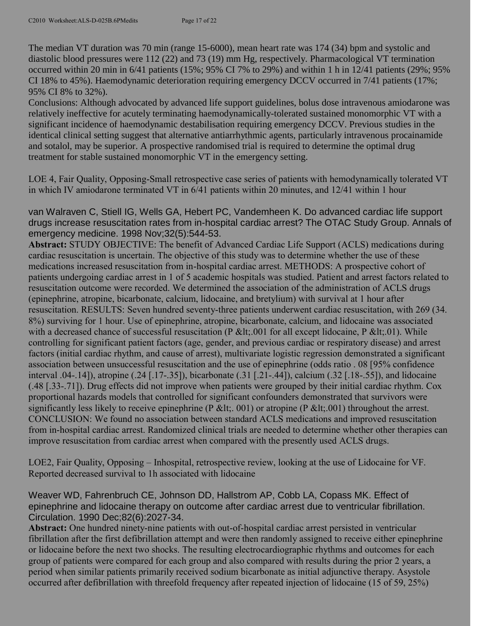The median VT duration was 70 min (range 15-6000), mean heart rate was 174 (34) bpm and systolic and diastolic blood pressures were 112 (22) and 73 (19) mm Hg, respectively. Pharmacological VT termination occurred within 20 min in 6/41 patients (15%; 95% CI 7% to 29%) and within 1 h in 12/41 patients (29%; 95% CI 18% to 45%). Haemodynamic deterioration requiring emergency DCCV occurred in 7/41 patients (17%; 95% CI 8% to 32%).

Conclusions: Although advocated by advanced life support guidelines, bolus dose intravenous amiodarone was relatively ineffective for acutely terminating haemodynamically-tolerated sustained monomorphic VT with a significant incidence of haemodynamic destabilisation requiring emergency DCCV. Previous studies in the identical clinical setting suggest that alternative antiarrhythmic agents, particularly intravenous procainamide and sotalol, may be superior. A prospective randomised trial is required to determine the optimal drug treatment for stable sustained monomorphic VT in the emergency setting.

LOE 4, Fair Quality, Opposing-Small retrospective case series of patients with hemodynamically tolerated VT in which IV amiodarone terminated VT in 6/41 patients within 20 minutes, and 12/41 within 1 hour

van Walraven C, Stiell IG, Wells GA, Hebert PC, Vandemheen K. Do advanced cardiac life support drugs increase resuscitation rates from in-hospital cardiac arrest? The OTAC Study Group. Annals of emergency medicine. 1998 Nov;32(5):544-53.

**Abstract:** STUDY OBJECTIVE: The benefit of Advanced Cardiac Life Support (ACLS) medications during cardiac resuscitation is uncertain. The objective of this study was to determine whether the use of these medications increased resuscitation from in-hospital cardiac arrest. METHODS: A prospective cohort of patients undergoing cardiac arrest in 1 of 5 academic hospitals was studied. Patient and arrest factors related to resuscitation outcome were recorded. We determined the association of the administration of ACLS drugs (epinephrine, atropine, bicarbonate, calcium, lidocaine, and bretylium) with survival at 1 hour after resuscitation. RESULTS: Seven hundred seventy-three patients underwent cardiac resuscitation, with 269 (34. 8%) surviving for 1 hour. Use of epinephrine, atropine, bicarbonate, calcium, and lidocaine was associated with a decreased chance of successful resuscitation (P &It; 001 for all except lidocaine, P &It; 01). While controlling for significant patient factors (age, gender, and previous cardiac or respiratory disease) and arrest factors (initial cardiac rhythm, and cause of arrest), multivariate logistic regression demonstrated a significant association between unsuccessful resuscitation and the use of epinephrine (odds ratio . 08 [95% confidence interval .04-.14]), atropine (.24 [.17-.35]), bicarbonate (.31 [.21-.44]), calcium (.32 [.18-.55]), and lidocaine (.48 [.33-.71]). Drug effects did not improve when patients were grouped by their initial cardiac rhythm. Cox proportional hazards models that controlled for significant confounders demonstrated that survivors were significantly less likely to receive epinephrine (P &It;. 001) or atropine (P &It;. 001) throughout the arrest. CONCLUSION: We found no association between standard ACLS medications and improved resuscitation from in-hospital cardiac arrest. Randomized clinical trials are needed to determine whether other therapies can improve resuscitation from cardiac arrest when compared with the presently used ACLS drugs.

LOE2, Fair Quality, Opposing – Inhospital, retrospective review, looking at the use of Lidocaine for VF. Reported decreased survival to 1h associated with lidocaine

Weaver WD, Fahrenbruch CE, Johnson DD, Hallstrom AP, Cobb LA, Copass MK. Effect of epinephrine and lidocaine therapy on outcome after cardiac arrest due to ventricular fibrillation. Circulation. 1990 Dec;82(6):2027-34.

**Abstract:** One hundred ninety-nine patients with out-of-hospital cardiac arrest persisted in ventricular fibrillation after the first defibrillation attempt and were then randomly assigned to receive either epinephrine or lidocaine before the next two shocks. The resulting electrocardiographic rhythms and outcomes for each group of patients were compared for each group and also compared with results during the prior 2 years, a period when similar patients primarily received sodium bicarbonate as initial adjunctive therapy. Asystole occurred after defibrillation with threefold frequency after repeated injection of lidocaine (15 of 59, 25%)